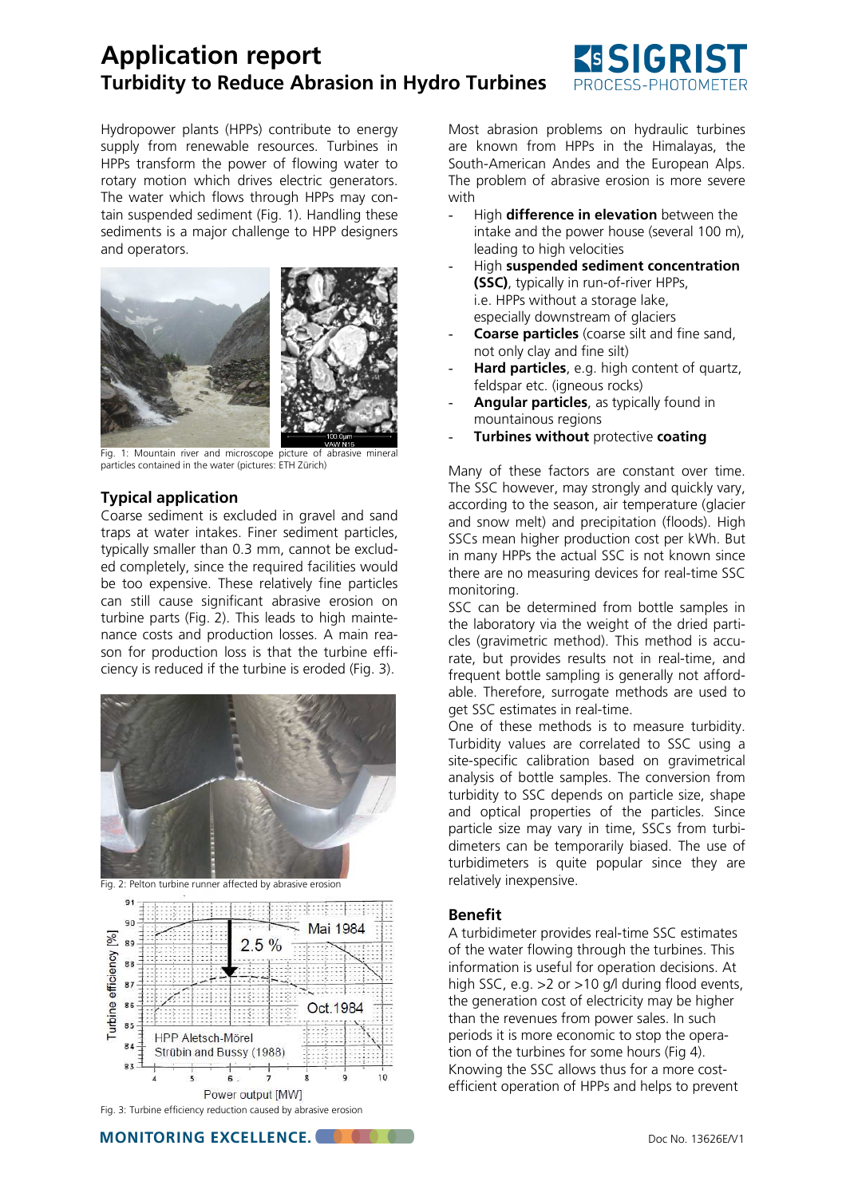## **Application report Turbidity to Reduce Abrasion in Hydro Turbines**



Hydropower plants (HPPs) contribute to energy supply from renewable resources. Turbines in HPPs transform the power of flowing water to rotary motion which drives electric generators. The water which flows through HPPs may contain suspended sediment (Fig. 1). Handling these sediments is a major challenge to HPP designers and operators.



Fig. 1: Mountain river and microscope picture of abrasive mineral particles contained in the water (pictures: ETH Zürich)

## **Typical application**

Coarse sediment is excluded in gravel and sand traps at water intakes. Finer sediment particles, typically smaller than 0.3 mm, cannot be excluded completely, since the required facilities would be too expensive. These relatively fine particles can still cause significant abrasive erosion on turbine parts (Fig. 2). This leads to high maintenance costs and production losses. A main reason for production loss is that the turbine efficiency is reduced if the turbine is eroded (Fig. 3).



Fig. 2: Pelton turbine runner affected by abrasive erosion



Fig. 3: Turbine efficiency reduction caused by abrasive erosion

**MONITORING EXCELLENCE. COLOR** 

Most abrasion problems on hydraulic turbines are known from HPPs in the Himalayas, the South-American Andes and the European Alps. The problem of abrasive erosion is more severe with

- High **difference in elevation** between the intake and the power house (several 100 m), leading to high velocities
- High **suspended sediment concentration (SSC)**, typically in run-of-river HPPs, i.e. HPPs without a storage lake, especially downstream of glaciers
- **Coarse particles** (coarse silt and fine sand, not only clay and fine silt)
- **Hard particles**, e.g. high content of quartz, feldspar etc. (igneous rocks)
- Angular particles, as typically found in mountainous regions
- **Turbines without** protective **coating**

Many of these factors are constant over time. The SSC however, may strongly and quickly vary, according to the season, air temperature (glacier and snow melt) and precipitation (floods). High SSCs mean higher production cost per kWh. But in many HPPs the actual SSC is not known since there are no measuring devices for real-time SSC monitoring.

SSC can be determined from bottle samples in the laboratory via the weight of the dried particles (gravimetric method). This method is accurate, but provides results not in real-time, and frequent bottle sampling is generally not affordable. Therefore, surrogate methods are used to get SSC estimates in real-time.

One of these methods is to measure turbidity. Turbidity values are correlated to SSC using a site-specific calibration based on gravimetrical analysis of bottle samples. The conversion from turbidity to SSC depends on particle size, shape and optical properties of the particles. Since particle size may vary in time, SSCs from turbidimeters can be temporarily biased. The use of turbidimeters is quite popular since they are relatively inexpensive.

#### **Benefit**

A turbidimeter provides real-time SSC estimates of the water flowing through the turbines. This information is useful for operation decisions. At high SSC, e.g. > 2 or > 10 g/l during flood events, the generation cost of electricity may be higher than the revenues from power sales. In such periods it is more economic to stop the operation of the turbines for some hours (Fig 4). Knowing the SSC allows thus for a more costefficient operation of HPPs and helps to prevent